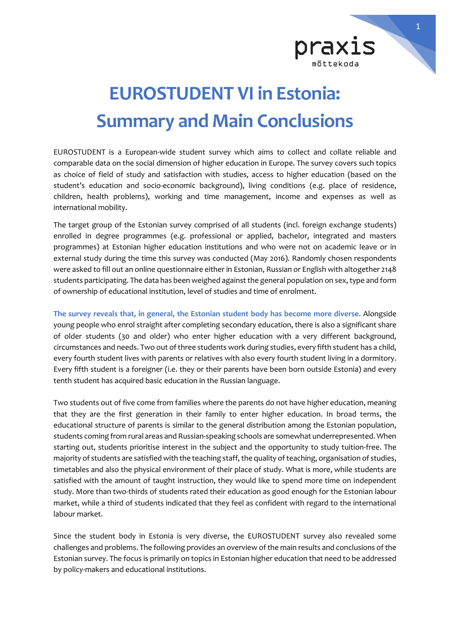

## **EUROSTUDENT VI in Estonia: Summary and Main Conclusions**

EUROSTUDENT is a European-wide student survey which aims to collect and collate reliable and comparable data on the social dimension of higher education in Europe. The survey covers such topics as choice of field of study and satisfaction with studies, access to higher education (based on the student's education and socio-economic background), living conditions (e.g. place of residence, children, health problems), working and time management, income and expenses as well as international mobility.

The target group of the Estonian survey comprised of all students (incl. foreign exchange students) enrolled in degree programmes (e.g. professional or applied, bachelor, integrated and masters programmes) at Estonian higher education institutions and who were not on academic leave or in external study during the time this survey was conducted (May 2016). Randomly chosen respondents were asked to fill out an online questionnaire either in Estonian, Russian or English with altogether 2148 students participating. The data has been weighed against the general population on sex, type and form of ownership of educational institution, level of studies and time of enrolment.

**The survey reveals that, in general, the Estonian student body has become more diverse.** Alongside young people who enrol straight after completing secondary education, there is also a significant share of older students (30 and older) who enter higher education with a very different background, circumstances and needs. Two out of three students work during studies, every fifth student has a child, every fourth student lives with parents or relatives with also every fourth student living in a dormitory. Every fifth student is a foreigner (i.e. they or their parents have been born outside Estonia) and every tenth student has acquired basic education in the Russian language.

Two students out of five come from families where the parents do not have higher education, meaning that they are the first generation in their family to enter higher education. In broad terms, the educational structure of parents is similar to the general distribution among the Estonian population, students coming from rural areas and Russian-speaking schools are somewhat underrepresented. When starting out, students prioritise interest in the subject and the opportunity to study tuition-free. The majority of students are satisfied with the teaching staff, the quality of teaching, organisation of studies, timetables and also the physical environment of their place of study. What is more, while students are satisfied with the amount of taught instruction, they would like to spend more time on independent study. More than two-thirds of students rated their education as good enough for the Estonian labour market, while a third of students indicated that they feel as confident with regard to the international labour market.

Since the student body in Estonia is very diverse, the EUROSTUDENT survey also revealed some challenges and problems. The following provides an overview of the main results and conclusions of the Estonian survey. The focus is primarily on topics in Estonian higher education that need to be addressed by policy-makers and educational institutions.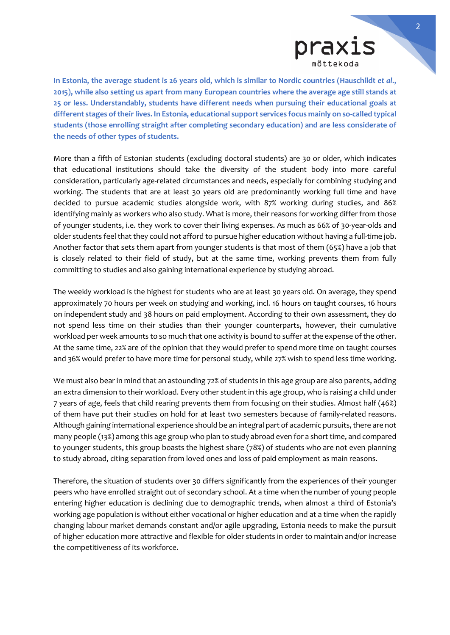

**In Estonia, the average student is 26 years old, which is similar to Nordic countries (Hauschildt** *et al***., 2015), while also setting us apart from many European countries where the average age still stands at 25 or less. Understandably, students have different needs when pursuing their educational goals at different stages of their lives. In Estonia, educational support services focus mainly on so-called typical students (those enrolling straight after completing secondary education) and are less considerate of the needs of other types of students.** 

More than a fifth of Estonian students (excluding doctoral students) are 30 or older, which indicates that educational institutions should take the diversity of the student body into more careful consideration, particularly age-related circumstances and needs, especially for combining studying and working. The students that are at least 30 years old are predominantly working full time and have decided to pursue academic studies alongside work, with 87% working during studies, and 86% identifying mainly as workers who also study. What is more, their reasons for working differ from those of younger students, i.e. they work to cover their living expenses. As much as 66% of 30-year-olds and older students feel that they could not afford to pursue higher education without having a full-time job. Another factor that sets them apart from younger students is that most of them (65%) have a job that is closely related to their field of study, but at the same time, working prevents them from fully committing to studies and also gaining international experience by studying abroad.

The weekly workload is the highest for students who are at least 30 years old. On average, they spend approximately 70 hours per week on studying and working, incl. 16 hours on taught courses, 16 hours on independent study and 38 hours on paid employment. According to their own assessment, they do not spend less time on their studies than their younger counterparts, however, their cumulative workload per week amounts to so much that one activity is bound to suffer at the expense of the other. At the same time, 22% are of the opinion that they would prefer to spend more time on taught courses and 36% would prefer to have more time for personal study, while 27% wish to spend less time working.

We must also bear in mind that an astounding 72% of students in this age group are also parents, adding an extra dimension to their workload. Every other student in this age group, who is raising a child under 7 years of age, feels that child rearing prevents them from focusing on their studies. Almost half (46%) of them have put their studies on hold for at least two semesters because of family-related reasons. Although gaining international experience should be an integral part of academic pursuits, there are not many people (13%) among this age group who plan to study abroad even for a short time, and compared to younger students, this group boasts the highest share (78%) of students who are not even planning to study abroad, citing separation from loved ones and loss of paid employment as main reasons.

Therefore, the situation of students over 30 differs significantly from the experiences of their younger peers who have enrolled straight out of secondary school. At a time when the number of young people entering higher education is declining due to demographic trends, when almost a third of Estonia's working age population is without either vocational or higher education and at a time when the rapidly changing labour market demands constant and/or agile upgrading, Estonia needs to make the pursuit of higher education more attractive and flexible for older students in order to maintain and/or increase the competitiveness of its workforce.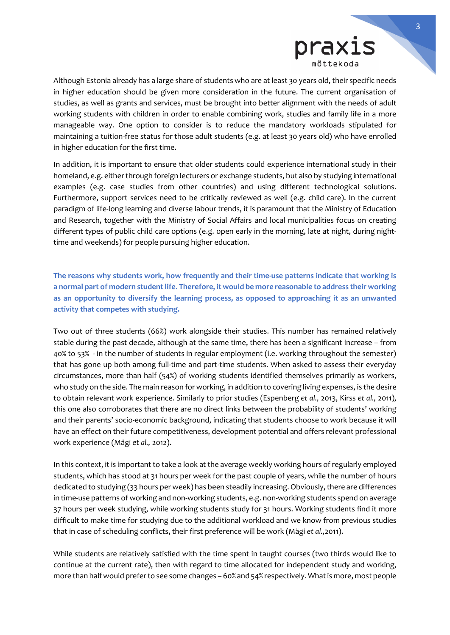

Although Estonia already has a large share of students who are at least 30 years old, their specific needs in higher education should be given more consideration in the future. The current organisation of studies, as well as grants and services, must be brought into better alignment with the needs of adult working students with children in order to enable combining work, studies and family life in a more manageable way. One option to consider is to reduce the mandatory workloads stipulated for maintaining a tuition-free status for those adult students (e.g. at least 30 years old) who have enrolled in higher education for the first time.

In addition, it is important to ensure that older students could experience international study in their homeland, e.g. either through foreign lecturers or exchange students, but also by studying international examples (e.g. case studies from other countries) and using different technological solutions. Furthermore, support services need to be critically reviewed as well (e.g. child care). In the current paradigm of life-long learning and diverse labour trends, it is paramount that the Ministry of Education and Research, together with the Ministry of Social Affairs and local municipalities focus on creating different types of public child care options (e.g. open early in the morning, late at night, during nighttime and weekends) for people pursuing higher education.

**The reasons why students work, how frequently and their time-use patterns indicate that working is a normal part of modern student life. Therefore, it would be more reasonable to address their working as an opportunity to diversify the learning process, as opposed to approaching it as an unwanted activity that competes with studying.**

Two out of three students (66%) work alongside their studies. This number has remained relatively stable during the past decade, although at the same time, there has been a significant increase – from 40% to 53% - in the number of students in regular employment (i.e. working throughout the semester) that has gone up both among full-time and part-time students. When asked to assess their everyday circumstances, more than half (54%) of working students identified themselves primarily as workers, who study on the side. The main reason for working, in addition to covering living expenses, is the desire to obtain relevant work experience. Similarly to prior studies (Espenberg *et al.,* 2013, Kirss *et al.,* 2011), this one also corroborates that there are no direct links between the probability of students' working and their parents' socio-economic background, indicating that students choose to work because it will have an effect on their future competitiveness, development potential and offers relevant professional work experience (Mägi *et al.,* 2012).

In this context, it is important to take a look at the average weekly working hours of regularly employed students, which has stood at 31 hours per week for the past couple of years, while the number of hours dedicated to studying (33 hours per week) has been steadily increasing. Obviously, there are differences in time-use patterns of working and non-working students, e.g. non-working students spend on average 37 hours per week studying, while working students study for 31 hours. Working students find it more difficult to make time for studying due to the additional workload and we know from previous studies that in case of scheduling conflicts, their first preference will be work (Mägi *et al.,*2011).

While students are relatively satisfied with the time spent in taught courses (two thirds would like to continue at the current rate), then with regard to time allocated for independent study and working, more than half would prefer to see some changes – 60% and 54% respectively. What is more, most people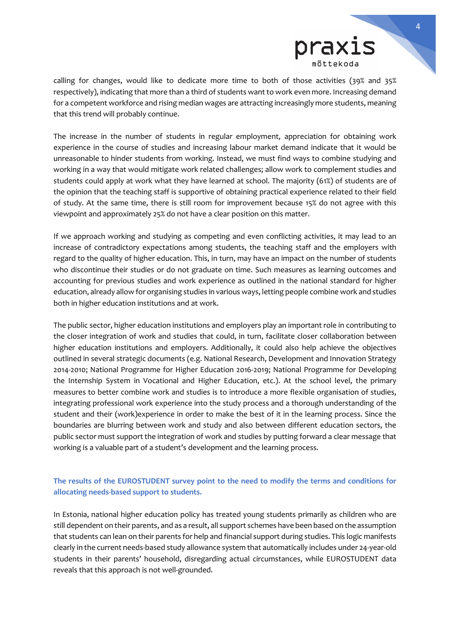

calling for changes, would like to dedicate more time to both of those activities (39% and 35% respectively), indicating that more than a third of students want to work even more. Increasing demand for a competent workforce and rising median wages are attracting increasingly more students, meaning that this trend will probably continue.

The increase in the number of students in regular employment, appreciation for obtaining work experience in the course of studies and increasing labour market demand indicate that it would be unreasonable to hinder students from working. Instead, we must find ways to combine studying and working in a way that would mitigate work related challenges; allow work to complement studies and students could apply at work what they have learned at school. The majority (61%) of students are of the opinion that the teaching staff is supportive of obtaining practical experience related to their field of study. At the same time, there is still room for improvement because 15% do not agree with this viewpoint and approximately 25% do not have a clear position on this matter.

If we approach working and studying as competing and even conflicting activities, it may lead to an increase of contradictory expectations among students, the teaching staff and the employers with regard to the quality of higher education. This, in turn, may have an impact on the number of students who discontinue their studies or do not graduate on time. Such measures as learning outcomes and accounting for previous studies and work experience as outlined in the national standard for higher education, already allow for organising studies in various ways, letting people combine work and studies both in higher education institutions and at work.

The public sector, higher education institutions and employers play an important role in contributing to the closer integration of work and studies that could, in turn, facilitate closer collaboration between higher education institutions and employers. Additionally, it could also help achieve the objectives outlined in several strategic documents (e.g. National Research, Development and Innovation Strategy 2014-2010; National Programme for Higher Education 2016-2019; National Programme for Developing the Internship System in Vocational and Higher Education, etc.). At the school level, the primary measures to better combine work and studies is to introduce a more flexible organisation of studies, integrating professional work experience into the study process and a thorough understanding of the student and their (work)experience in order to make the best of it in the learning process. Since the boundaries are blurring between work and study and also between different education sectors, the public sector must support the integration of work and studies by putting forward a clear message that working is a valuable part of a student's development and the learning process.

## **The results of the EUROSTUDENT survey point to the need to modify the terms and conditions for allocating needs-based support to students.**

In Estonia, national higher education policy has treated young students primarily as children who are still dependent on their parents, and as a result, all support schemes have been based on the assumption that students can lean on their parents for help and financial support during studies. This logic manifests clearly in the current needs-based study allowance system that automatically includes under 24-year-old students in their parents' household, disregarding actual circumstances, while EUROSTUDENT data reveals that this approach is not well-grounded.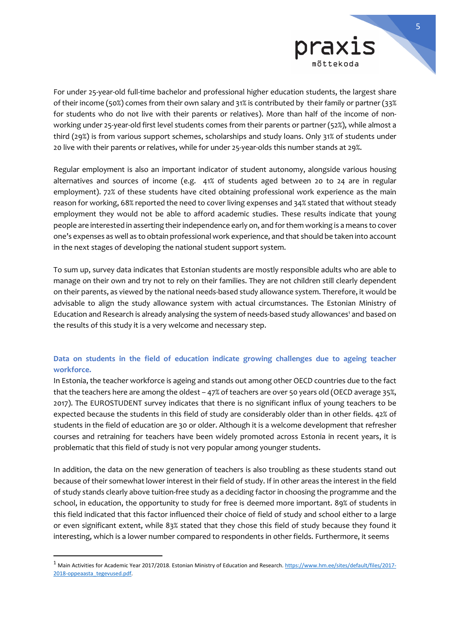

For under 25-year-old full-time bachelor and professional higher education students, the largest share of their income (50%) comes from their own salary and 31% is contributed by their family or partner (33% for students who do not live with their parents or relatives). More than half of the income of nonworking under 25-year-old first level students comes from their parents or partner (52%), while almost a third (29%) is from various support schemes, scholarships and study loans. Only 31% of students under 20 live with their parents or relatives, while for under 25-year-olds this number stands at 29%.

Regular employment is also an important indicator of student autonomy, alongside various housing alternatives and sources of income (e.g. 41% of students aged between 20 to 24 are in regular employment). 72% of these students have cited obtaining professional work experience as the main reason for working, 68% reported the need to cover living expenses and 34% stated that without steady employment they would not be able to afford academic studies. These results indicate that young people are interested in asserting their independence early on, and for them working is a means to cover one's expenses as well as to obtain professional work experience, and that should be taken into account in the next stages of developing the national student support system.

To sum up, survey data indicates that Estonian students are mostly responsible adults who are able to manage on their own and try not to rely on their families. They are not children still clearly dependent on their parents, as viewed by the national needs-based study allowance system. Therefore, it would be advisable to align the study allowance system with actual circumstances. The Estonian Ministry of Education and Research is already analysing the system of needs-based study allowances<sup>1</sup> and based on the results of this study it is a very welcome and necessary step.

## **Data on students in the field of education indicate growing challenges due to ageing teacher workforce.**

In Estonia, the teacher workforce is ageing and stands out among other OECD countries due to the fact that the teachers here are among the oldest – 47% of teachers are over 50 years old (OECD average 35%, 2017). The EUROSTUDENT survey indicates that there is no significant influx of young teachers to be expected because the students in this field of study are considerably older than in other fields. 42% of students in the field of education are 30 or older. Although it is a welcome development that refresher courses and retraining for teachers have been widely promoted across Estonia in recent years, it is problematic that this field of study is not very popular among younger students.

In addition, the data on the new generation of teachers is also troubling as these students stand out because of their somewhat lower interest in their field of study. If in other areas the interest in the field of study stands clearly above tuition-free study as a deciding factor in choosing the programme and the school, in education, the opportunity to study for free is deemed more important. 89% of students in this field indicated that this factor influenced their choice of field of study and school either to a large or even significant extent, while 83% stated that they chose this field of study because they found it interesting, which is a lower number compared to respondents in other fields. Furthermore, it seems

-

<sup>&</sup>lt;sup>1</sup> Main Activities for Academic Year 2017/2018. Estonian Ministry of Education and Research[. https://www.hm.ee/sites/default/files/2017-](https://www.hm.ee/sites/default/files/2017-2018-oppeaasta_tegevused.pdf) [2018-oppeaasta\\_tegevused.pdf.](https://www.hm.ee/sites/default/files/2017-2018-oppeaasta_tegevused.pdf)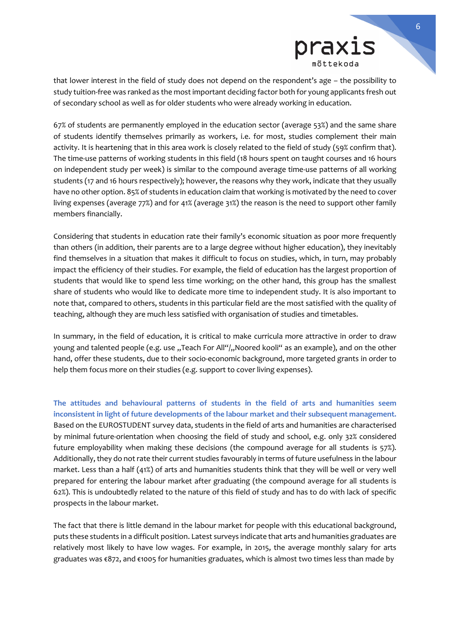

that lower interest in the field of study does not depend on the respondent's age – the possibility to study tuition-free was ranked as the most important deciding factor both for young applicants fresh out of secondary school as well as for older students who were already working in education.

67% of students are permanently employed in the education sector (average 53%) and the same share of students identify themselves primarily as workers, i.e. for most, studies complement their main activity. It is heartening that in this area work is closely related to the field of study (59% confirm that). The time-use patterns of working students in this field (18 hours spent on taught courses and 16 hours on independent study per week) is similar to the compound average time-use patterns of all working students (17 and 16 hours respectively); however, the reasons why they work, indicate that they usually have no other option. 85% of students in education claim that working is motivated by the need to cover living expenses (average 77%) and for 41% (average 31%) the reason is the need to support other family members financially.

Considering that students in education rate their family's economic situation as poor more frequently than others (in addition, their parents are to a large degree without higher education), they inevitably find themselves in a situation that makes it difficult to focus on studies, which, in turn, may probably impact the efficiency of their studies. For example, the field of education has the largest proportion of students that would like to spend less time working; on the other hand, this group has the smallest share of students who would like to dedicate more time to independent study. It is also important to note that, compared to others, students in this particular field are the most satisfied with the quality of teaching, although they are much less satisfied with organisation of studies and timetables.

In summary, in the field of education, it is critical to make curricula more attractive in order to draw young and talented people (e.g. use "Teach For All"/"Noored kooli" as an example), and on the other hand, offer these students, due to their socio-economic background, more targeted grants in order to help them focus more on their studies (e.g. support to cover living expenses).

**The attitudes and behavioural patterns of students in the field of arts and humanities seem inconsistent in light of future developments of the labour market and their subsequent management.** Based on the EUROSTUDENT survey data, students in the field of arts and humanities are characterised by minimal future-orientation when choosing the field of study and school, e.g. only 32% considered future employability when making these decisions (the compound average for all students is 57%). Additionally, they do not rate their current studies favourably in terms of future usefulness in the labour market. Less than a half (41%) of arts and humanities students think that they will be well or very well prepared for entering the labour market after graduating (the compound average for all students is 62%). This is undoubtedly related to the nature of this field of study and has to do with lack of specific prospects in the labour market.

The fact that there is little demand in the labour market for people with this educational background, puts these students in a difficult position. Latest surveys indicate that arts and humanities graduates are relatively most likely to have low wages. For example, in 2015, the average monthly salary for arts graduates was €872, and €1005 for humanities graduates, which is almost two times less than made by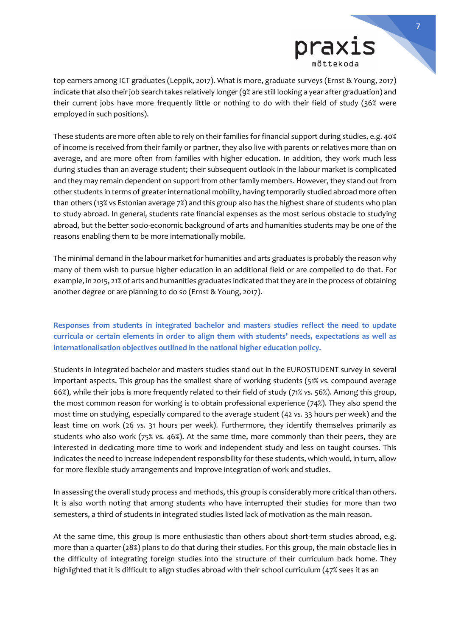

top earners among ICT graduates (Leppik, 2017). What is more, graduate surveys (Ernst & Young, 2017) indicate that also their job search takes relatively longer (9% are still looking a year after graduation) and their current jobs have more frequently little or nothing to do with their field of study (36% were employed in such positions).

These students are more often able to rely on their families for financial support during studies, e.g. 40% of income is received from their family or partner, they also live with parents or relatives more than on average, and are more often from families with higher education. In addition, they work much less during studies than an average student; their subsequent outlook in the labour market is complicated and they may remain dependent on support from other family members. However, they stand out from other students in terms of greater international mobility, having temporarily studied abroad more often than others (13% vs Estonian average 7%) and this group also has the highest share of students who plan to study abroad. In general, students rate financial expenses as the most serious obstacle to studying abroad, but the better socio-economic background of arts and humanities students may be one of the reasons enabling them to be more internationally mobile.

The minimal demand in the labour market for humanities and arts graduates is probably the reason why many of them wish to pursue higher education in an additional field or are compelled to do that. For example, in 2015, 21% of arts and humanities graduates indicated that they are in the process of obtaining another degree or are planning to do so (Ernst & Young, 2017).

## **Responses from students in integrated bachelor and masters studies reflect the need to update curricula or certain elements in order to align them with students' needs, expectations as well as internationalisation objectives outlined in the national higher education policy.**

Students in integrated bachelor and masters studies stand out in the EUROSTUDENT survey in several important aspects. This group has the smallest share of working students (51% *vs.* compound average 66%), while their jobs is more frequently related to their field of study (71% *vs.* 56%). Among this group, the most common reason for working is to obtain professional experience (74%). They also spend the most time on studying, especially compared to the average student (42 *vs.* 33 hours per week) and the least time on work (26 *vs.* 31 hours per week). Furthermore, they identify themselves primarily as students who also work (75% *vs.* 46%). At the same time, more commonly than their peers, they are interested in dedicating more time to work and independent study and less on taught courses. This indicates the need to increase independent responsibility for these students, which would, in turn, allow for more flexible study arrangements and improve integration of work and studies.

In assessing the overall study process and methods, this group is considerably more critical than others. It is also worth noting that among students who have interrupted their studies for more than two semesters, a third of students in integrated studies listed lack of motivation as the main reason.

At the same time, this group is more enthusiastic than others about short-term studies abroad, e.g. more than a quarter (28%) plans to do that during their studies. For this group, the main obstacle lies in the difficulty of integrating foreign studies into the structure of their curriculum back home. They highlighted that it is difficult to align studies abroad with their school curriculum (47% sees it as an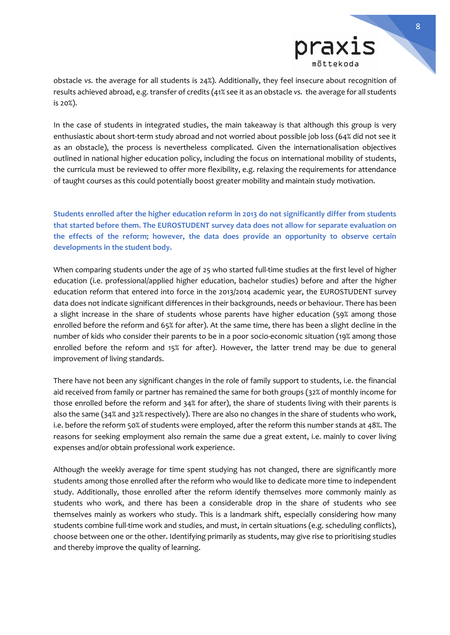

obstacle *vs.* the average for all students is 24%). Additionally, they feel insecure about recognition of results achieved abroad, e.g. transfer of credits (41% see it as an obstacle *vs.* the average for all students is 20%).

In the case of students in integrated studies, the main takeaway is that although this group is very enthusiastic about short-term study abroad and not worried about possible job loss (64% did not see it as an obstacle), the process is nevertheless complicated. Given the internationalisation objectives outlined in national higher education policy, including the focus on international mobility of students, the curricula must be reviewed to offer more flexibility, e.g. relaxing the requirements for attendance of taught courses as this could potentially boost greater mobility and maintain study motivation.

**Students enrolled after the higher education reform in 2013 do not significantly differ from students that started before them. The EUROSTUDENT survey data does not allow for separate evaluation on the effects of the reform; however, the data does provide an opportunity to observe certain developments in the student body.** 

When comparing students under the age of 25 who started full-time studies at the first level of higher education (i.e. professional/applied higher education, bachelor studies) before and after the higher education reform that entered into force in the 2013/2014 academic year, the EUROSTUDENT survey data does not indicate significant differences in their backgrounds, needs or behaviour. There has been a slight increase in the share of students whose parents have higher education (59% among those enrolled before the reform and 65% for after). At the same time, there has been a slight decline in the number of kids who consider their parents to be in a poor socio-economic situation (19% among those enrolled before the reform and 15% for after). However, the latter trend may be due to general improvement of living standards.

There have not been any significant changes in the role of family support to students, i.e. the financial aid received from family or partner has remained the same for both groups (32% of monthly income for those enrolled before the reform and 34% for after), the share of students living with their parents is also the same (34% and 32% respectively). There are also no changes in the share of students who work, i.e. before the reform 50% of students were employed, after the reform this number stands at 48%. The reasons for seeking employment also remain the same due a great extent, i.e. mainly to cover living expenses and/or obtain professional work experience.

Although the weekly average for time spent studying has not changed, there are significantly more students among those enrolled after the reform who would like to dedicate more time to independent study. Additionally, those enrolled after the reform identify themselves more commonly mainly as students who work, and there has been a considerable drop in the share of students who see themselves mainly as workers who study. This is a landmark shift, especially considering how many students combine full-time work and studies, and must, in certain situations (e.g. scheduling conflicts), choose between one or the other. Identifying primarily as students, may give rise to prioritising studies and thereby improve the quality of learning.